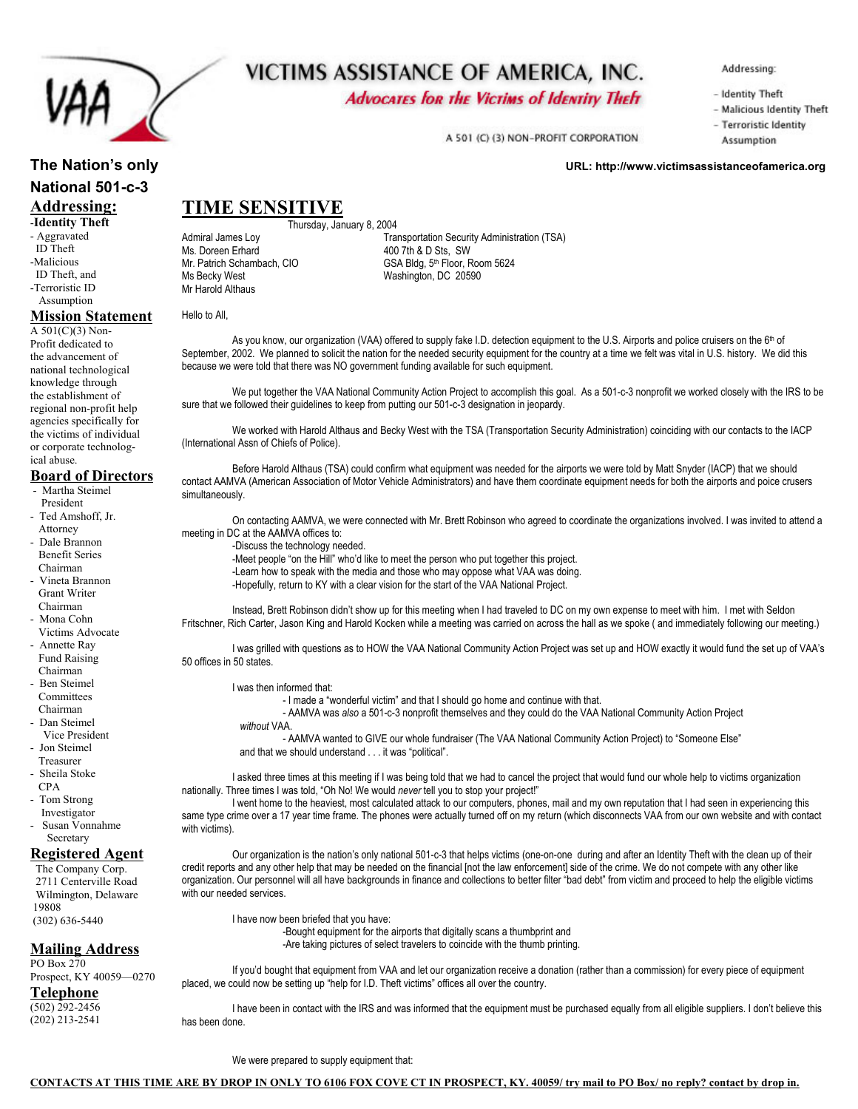

# VICTIMS ASSISTANCE OF AMERICA, INC.

**Advocates for the Victims of Identity Theft** 

Addressing:

- Identity Theft
- Malicious Identity Theft

- Terroristic Identity A 501 (C) (3) NON-PROFIT CORPORATION Assumption

## **The Nation's only Computer of the Nation's only URL: http://www.victimsassistanceofamerica.org in the Nation's only URL: http://www.victimsassistanceofamerica.org National 501-c-3 Addressing:**  -**Identity Theft**

- Aggravated ID Theft -Malicious ID Theft, and
- -Terroristic ID Assumption

# **Mission Statement**

A 501(C)(3) Non-Profit dedicated to the advancement of national technological knowledge through the establishment of regional non-profit help agencies specifically for the victims of individual or corporate technological abuse.

#### **Board of Directors**

- Martha Steimel President
- Ted Amshoff, Jr. Attorney
- Dale Brannon Benefit Series Chairman
- Vineta Brannon Grant Writer Chairman
- Mona Cohn
- Victims Advocate - Annette Ray Fund Raising
- Chairman - Ben Steimel **Committees**
- Chairman - Dan Steimel
- Vice President - Jon Steimel
- Treasurer - Sheila Stoke
- CPA - Tom Strong
- Investigator
- Susan Vonnahme Secretary

#### **Registered Agent**

 The Company Corp. 2711 Centerville Road Wilmington, Delaware 19808 (302) 636-5440

#### **Mailing Address**

PO Box 270 Prospect, KY 40059—0270

## **Telephone**

(502) 292-2456 (202) 213-2541 Thursday, January 8, 2004<br>Tra Transportation Security Administration (TSA) Ms. Doreen Erhard<br>
Mr. Patrich Schambach, CIO **Access CONNET CONNET CONNET CONNET CONNET CONNET CONNET CONNET CONNET CONNET CONNET CONNET CONNET CONNET CONNET CONNET CONNET CONNET CONNET CONNET CONNET CONNET CONNET CONNET** Mr. Patrich Schambach, CIO<br>
Ms Becky West CIO GSA Bldg, 5th Floor, Room 5624<br>
Washington, DC 20590 Washington, DC 20590

Hello to All,

Mr Harold Althaus

**TIME SENSITIVE**

As you know, our organization (VAA) offered to supply fake I.D. detection equipment to the U.S. Airports and police cruisers on the 6<sup>th</sup> of September, 2002. We planned to solicit the nation for the needed security equipment for the country at a time we felt was vital in U.S. history. We did this because we were told that there was NO government funding available for such equipment.

We put together the VAA National Community Action Project to accomplish this goal. As a 501-c-3 nonprofit we worked closely with the IRS to be sure that we followed their guidelines to keep from putting our 501-c-3 designation in jeopardy.

 We worked with Harold Althaus and Becky West with the TSA (Transportation Security Administration) coinciding with our contacts to the IACP (International Assn of Chiefs of Police).

 Before Harold Althaus (TSA) could confirm what equipment was needed for the airports we were told by Matt Snyder (IACP) that we should contact AAMVA (American Association of Motor Vehicle Administrators) and have them coordinate equipment needs for both the airports and poice crusers simultaneously.

 On contacting AAMVA, we were connected with Mr. Brett Robinson who agreed to coordinate the organizations involved. I was invited to attend a meeting in DC at the AAMVA offices to:

-Discuss the technology needed.

-Meet people "on the Hill" who'd like to meet the person who put together this project.

-Learn how to speak with the media and those who may oppose what VAA was doing.

-Hopefully, return to KY with a clear vision for the start of the VAA National Project.

 Instead, Brett Robinson didn't show up for this meeting when I had traveled to DC on my own expense to meet with him. I met with Seldon Fritschner, Rich Carter, Jason King and Harold Kocken while a meeting was carried on across the hall as we spoke ( and immediately following our meeting.)

 I was grilled with questions as to HOW the VAA National Community Action Project was set up and HOW exactly it would fund the set up of VAA's 50 offices in 50 states.

I was then informed that:

- I made a "wonderful victim" and that I should go home and continue with that.

 - AAMVA was *also* a 501-c-3 nonprofit themselves and they could do the VAA National Community Action Project *without* VAA.

 - AAMVA wanted to GIVE our whole fundraiser (The VAA National Community Action Project) to "Someone Else" and that we should understand . . . it was "political".

I asked three times at this meeting if I was being told that we had to cancel the project that would fund our whole help to victims organization nationally. Three times I was told, "Oh No! We would *never* tell you to stop your project!"

 I went home to the heaviest, most calculated attack to our computers, phones, mail and my own reputation that I had seen in experiencing this same type crime over a 17 year time frame. The phones were actually turned off on my return (which disconnects VAA from our own website and with contact with victims).

 Our organization is the nation's only national 501-c-3 that helps victims (one-on-one during and after an Identity Theft with the clean up of their credit reports and any other help that may be needed on the financial [not the law enforcement] side of the crime. We do not compete with any other like organization. Our personnel will all have backgrounds in finance and collections to better filter "bad debt" from victim and proceed to help the eligible victims with our needed services.

I have now been briefed that you have:

 -Bought equipment for the airports that digitally scans a thumbprint and -Are taking pictures of select travelers to coincide with the thumb printing.

 If you'd bought that equipment from VAA and let our organization receive a donation (rather than a commission) for every piece of equipment placed, we could now be setting up "help for I.D. Theft victims" offices all over the country.

 I have been in contact with the IRS and was informed that the equipment must be purchased equally from all eligible suppliers. I don't believe this has been done.

We were prepared to supply equipment that: